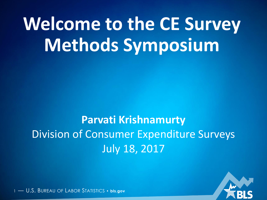# **Welcome to the CE Survey Methods Symposium**

### **Parvati Krishnamurty** Division of Consumer Expenditure Surveys July 18, 2017

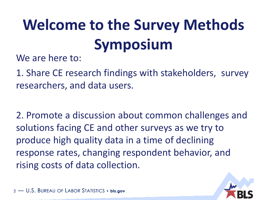# **Welcome to the Survey Methods Symposium**

We are here to:

1. Share CE research findings with stakeholders, survey researchers, and data users.

2. Promote a discussion about common challenges and solutions facing CE and other surveys as we try to produce high quality data in a time of declining response rates, changing respondent behavior, and rising costs of data collection.

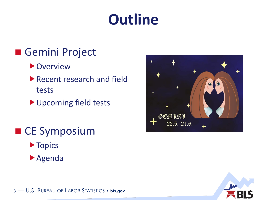### **Outline**

#### Gemini Project

- **D** Overview
- Recent research and field tests
- Upcoming field tests
- CE Symposium
	- **Topics**
	- Agenda



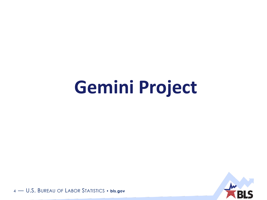# **Gemini Project**

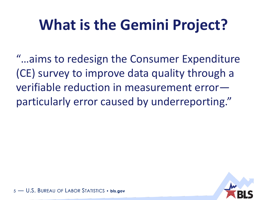## **What is the Gemini Project?**

"…aims to redesign the Consumer Expenditure (CE) survey to improve data quality through a verifiable reduction in measurement error particularly error caused by underreporting."

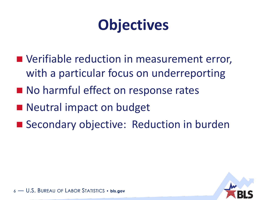### **Objectives**

- **Notainable reduction in measurement error,** with a particular focus on underreporting
- No harmful effect on response rates
- Neutral impact on budget
- Secondary objective: Reduction in burden

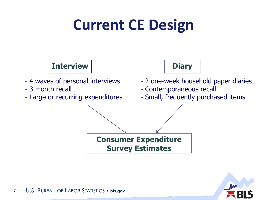### **Current CE Design**



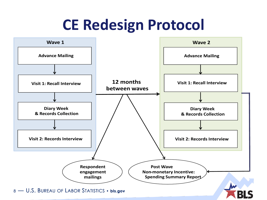### **CE Redesign Protocol**

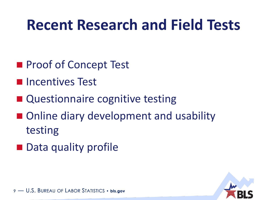### **Recent Research and Field Tests**

- **Proof of Concept Test**
- **Incentives Test**
- Questionnaire cognitive testing
- Online diary development and usability testing
- Data quality profile

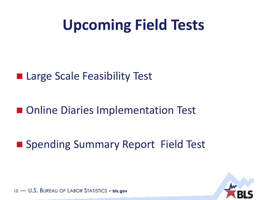### **Upcoming Field Tests**

#### ■ Large Scale Feasibility Test

■ Online Diaries Implementation Test

■ Spending Summary Report Field Test

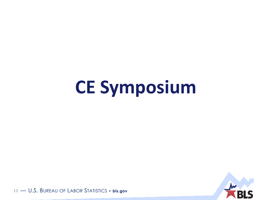# **CE Symposium**

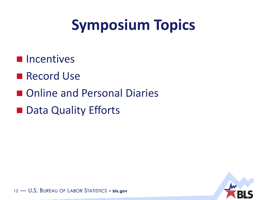## **Symposium Topics**

- **Incentives**
- **Record Use**
- Online and Personal Diaries
- Data Quality Efforts

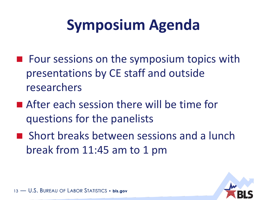## **Symposium Agenda**

- $\blacksquare$  Four sessions on the symposium topics with presentations by CE staff and outside researchers
- **E** After each session there will be time for questions for the panelists
- **Short breaks between sessions and a lunch** break from 11:45 am to 1 pm